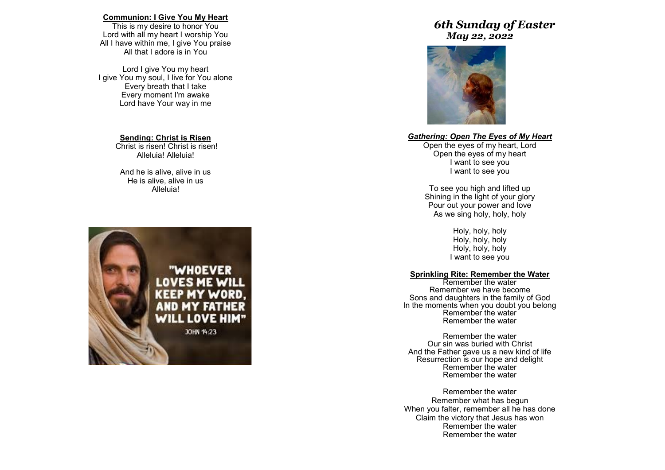## **Communion: I Give You My Heart**

This is my desire to honor You Lord with all my heart I worship You All I have within me, I give You praise All that I adore is in You

Lord I give You my heart I give You my soul, I live for You alone Every breath that I take Every moment I'm awake Lord have Your way in me

> **Sending: Christ is Risen** Christ is risen! Christ is risen!

Alleluia! Alleluia!

And he is alive, alive in us He is alive, alive in us Alleluia!



# *6th Sunday of Easter May 22, 2022*



### *Gathering: Open The Eyes of My Heart*

Open the eyes of my heart, Lord Open the eyes of my heart I want to see you I want to see you

To see you high and lifted up Shining in the light of your glory Pour out your power and love As we sing holy, holy, holy

> Holy, holy, holy Holy, holy, holy Holy, holy, holy I want to see you

### **Sprinkling Rite: Remember the Water**

Remember the water Remember we have become Sons and daughters in the family of God In the moments when you doubt you belong Remember the water Remember the water

Remember the water Our sin was buried with Christ And the Father gave us a new kind of life Resurrection is our hope and delight Remember the water Remember the water

Remember the water Remember what has begun When you falter, remember all he has done Claim the victory that Jesus has won Remember the water Remember the water